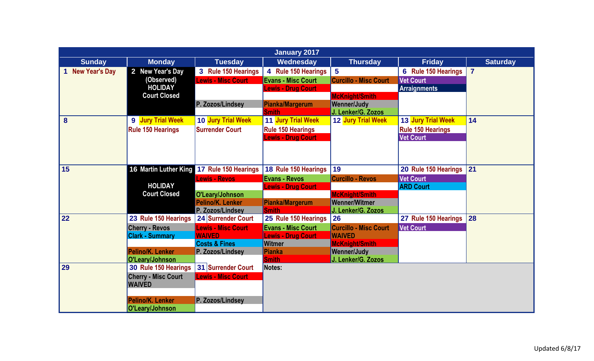|                  |                            |                                            | <b>January 2017</b>       |                              |                          |                 |
|------------------|----------------------------|--------------------------------------------|---------------------------|------------------------------|--------------------------|-----------------|
| <b>Sunday</b>    | <b>Monday</b>              | <b>Tuesday</b>                             | Wednesday                 | <b>Thursday</b>              | <b>Friday</b>            | <b>Saturday</b> |
| 1 New Year's Day | 2 New Year's Day           | 3 Rule 150 Hearings                        | 4 Rule 150 Hearings       | $5\phantom{1}$               | 6 Rule 150 Hearings      | $\overline{7}$  |
|                  | (Observed)                 | <b>Lewis - Misc Court</b>                  | <b>Evans - Misc Court</b> | <b>Curcillo - Misc Court</b> | <b>Vet Court</b>         |                 |
|                  | <b>HOLIDAY</b>             |                                            | <b>Lewis - Drug Court</b> |                              | <b>Arraignments</b>      |                 |
|                  | <b>Court Closed</b>        |                                            |                           | <b>McKnight/Smith</b>        |                          |                 |
|                  |                            | P. Zozos/Lindsey                           | <b>Pianka/Margerum</b>    | <b>Wenner/Judy</b>           |                          |                 |
|                  |                            |                                            | <b>Smith</b>              | J. Lenker/G. Zozos           |                          |                 |
| 8                | 9 Jury Trial Week          | 10 Jury Trial Week                         | 11 Jury Trial Week        | 12 Jury Trial Week           | 13 Jury Trial Week       | 14              |
|                  | <b>Rule 150 Hearings</b>   | <b>Surrender Court</b>                     | <b>Rule 150 Hearings</b>  |                              | <b>Rule 150 Hearings</b> |                 |
|                  |                            |                                            | <b>Lewis - Drug Court</b> |                              | <b>Vet Court</b>         |                 |
|                  |                            |                                            |                           |                              |                          |                 |
|                  |                            |                                            |                           |                              |                          |                 |
| 15               |                            | 16 Martin Luther King 17 Rule 150 Hearings | 18 Rule 150 Hearings      | 19                           | 20 Rule 150 Hearings     | 21              |
|                  |                            | <b>Lewis - Revos</b>                       | <b>Evans - Revos</b>      | <b>Curcillo - Revos</b>      | <b>Vet Court</b>         |                 |
|                  | <b>HOLIDAY</b>             |                                            | Lewis - Drug Court        |                              | <b>ARD Court</b>         |                 |
|                  | <b>Court Closed</b>        | O'Leary/Johnson                            |                           | <b>McKnight/Smith</b>        |                          |                 |
|                  |                            | Pelino/K. Lenker                           | <b>Pianka/Margerum</b>    | <b>Wenner/Witmer</b>         |                          |                 |
|                  |                            | P. Zozos/Lindsey                           | <b>Smith</b>              | J. Lenker/G. Zozos           |                          |                 |
| 22               | 23 Rule 150 Hearings       | 24 Surrender Court                         | 25 Rule 150 Hearings      | <b>26</b>                    | 27 Rule 150 Hearings     | 28              |
|                  | <b>Cherry - Revos</b>      | <b>Lewis - Misc Court</b>                  | <b>Evans - Misc Court</b> | <b>Curcillo - Misc Court</b> | <b>Vet Court</b>         |                 |
|                  | <b>Clark - Summary</b>     | <b>WAIVED</b>                              | <b>Lewis - Drug Court</b> | <b>WAIVED</b>                |                          |                 |
|                  |                            | <b>Costs &amp; Fines</b>                   | <b>Witmer</b>             | <b>McKnight/Smith</b>        |                          |                 |
|                  | Pelino/K. Lenker           | P. Zozos/Lindsey                           | <b>Pianka</b>             | <b>Wenner/Judy</b>           |                          |                 |
|                  | O'Leary/Johnson            |                                            | <b>Smith</b>              | J. Lenker/G. Zozos           |                          |                 |
| 29               | 30 Rule 150 Hearings       | 31 Surrender Court                         | Notes:                    |                              |                          |                 |
|                  | <b>Cherry - Misc Court</b> | <b>Lewis - Misc Court</b>                  |                           |                              |                          |                 |
|                  | <b>WAIVED</b>              |                                            |                           |                              |                          |                 |
|                  |                            |                                            |                           |                              |                          |                 |
|                  | Pelino/K. Lenker           | P. Zozos/Lindsey                           |                           |                              |                          |                 |
|                  | O'Leary/Johnson            |                                            |                           |                              |                          |                 |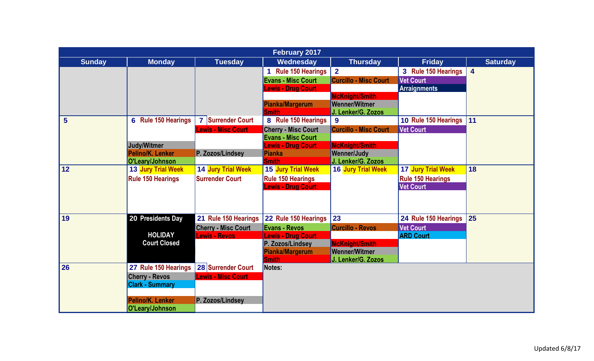|                | <b>February 2017</b>     |                                                    |                                                         |                              |                                      |                         |  |  |  |
|----------------|--------------------------|----------------------------------------------------|---------------------------------------------------------|------------------------------|--------------------------------------|-------------------------|--|--|--|
| <b>Sunday</b>  | <b>Monday</b>            | <b>Tuesday</b>                                     | Wednesday                                               | <b>Thursday</b>              | <b>Friday</b>                        | <b>Saturday</b>         |  |  |  |
|                |                          |                                                    | <b>Rule 150 Hearings</b>                                | $\overline{2}$               | 3 Rule 150 Hearings                  | $\overline{\mathbf{4}}$ |  |  |  |
|                |                          |                                                    | <b>Evans - Misc Court</b>                               | <b>Curcillo - Misc Court</b> | <b>Vet Court</b>                     |                         |  |  |  |
|                |                          |                                                    | <b>Lewis - Drug Court</b>                               |                              | <b>Arraignments</b>                  |                         |  |  |  |
|                |                          |                                                    |                                                         | <b>McKnight/Smith</b>        |                                      |                         |  |  |  |
|                |                          |                                                    | Pianka/Margerum                                         | <b>Wenner/Witmer</b>         |                                      |                         |  |  |  |
| $5\phantom{1}$ |                          |                                                    | <b>Smith</b>                                            | J. Lenker/G. Zozos           |                                      | 11                      |  |  |  |
|                | 6 Rule 150 Hearings      | 7 Surrender Court                                  | 8 Rule 150 Hearings                                     | 9                            | 10 Rule 150 Hearings                 |                         |  |  |  |
|                |                          | <b>Lewis - Misc Court</b>                          | <b>Cherry - Misc Court</b><br><b>Evans - Misc Court</b> | <b>Curcillo - Misc Court</b> | <b>Vet Court</b>                     |                         |  |  |  |
|                | <b>Judy/Witmer</b>       |                                                    | <b>Lewis - Drug Court</b>                               | <b>McKnight/Smith</b>        |                                      |                         |  |  |  |
|                | Pelino/K. Lenker         | P. Zozos/Lindsey                                   | <b>Pianka</b>                                           | <b>Wenner/Judy</b>           |                                      |                         |  |  |  |
|                | O'Leary/Johnson          |                                                    | <b>Smith</b>                                            | J. Lenker/G. Zozos           |                                      |                         |  |  |  |
| 12             | 13 Jury Trial Week       | 14 Jury Trial Week                                 | 15 Jury Trial Week                                      | 16 Jury Trial Week           | 17 Jury Trial Week                   | 18                      |  |  |  |
|                | <b>Rule 150 Hearings</b> | <b>Surrender Court</b>                             | <b>Rule 150 Hearings</b>                                |                              | <b>Rule 150 Hearings</b>             |                         |  |  |  |
|                |                          |                                                    | <b>Lewis - Drug Court</b>                               |                              | <b>Vet Court</b>                     |                         |  |  |  |
|                |                          |                                                    |                                                         |                              |                                      |                         |  |  |  |
| 19             | 20 Presidents Day        | 21 Rule 150 Hearings                               | 22 Rule 150 Hearings                                    | 23                           | 24 Rule 150 Hearings                 | 25                      |  |  |  |
|                |                          |                                                    |                                                         |                              |                                      |                         |  |  |  |
|                | <b>HOLIDAY</b>           | <b>Cherry - Misc Court</b><br><b>Lewis - Revos</b> | <b>Evans - Revos</b>                                    | <b>Curcillo - Revos</b>      | <b>Vet Court</b><br><b>ARD Court</b> |                         |  |  |  |
|                | <b>Court Closed</b>      |                                                    | <b>Lewis - Drug Court</b><br>P. Zozos/Lindsey           | <b>McKnight/Smith</b>        |                                      |                         |  |  |  |
|                |                          |                                                    | Pianka/Margerum                                         | <b>Wenner/Witmer</b>         |                                      |                         |  |  |  |
|                |                          |                                                    | <b>Smith</b>                                            | J. Lenker/G. Zozos           |                                      |                         |  |  |  |
| 26             | 27 Rule 150 Hearings     | 28 Surrender Court                                 | Notes:                                                  |                              |                                      |                         |  |  |  |
|                | <b>Cherry - Revos</b>    | <b>Lewis - Misc Court</b>                          |                                                         |                              |                                      |                         |  |  |  |
|                | <b>Clark - Summary</b>   |                                                    |                                                         |                              |                                      |                         |  |  |  |
|                | Pelino/K. Lenker         | P. Zozos/Lindsev                                   |                                                         |                              |                                      |                         |  |  |  |
|                | O'Leary/Johnson          |                                                    |                                                         |                              |                                      |                         |  |  |  |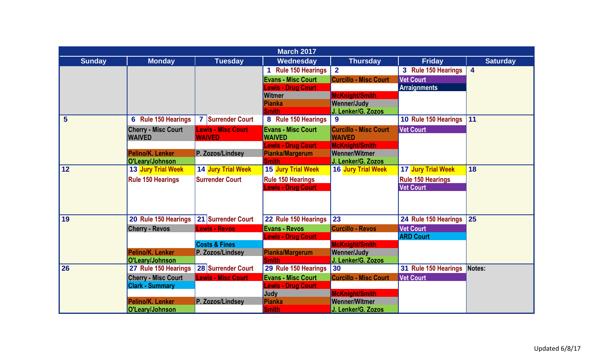|                |                            |                           | <b>March 2017</b>         |                              |                           |                         |
|----------------|----------------------------|---------------------------|---------------------------|------------------------------|---------------------------|-------------------------|
| <b>Sunday</b>  | <b>Monday</b>              | <b>Tuesday</b>            | Wednesday                 | <b>Thursday</b>              | <b>Friday</b>             | <b>Saturday</b>         |
|                |                            |                           | <b>Rule 150 Hearings</b>  | $\overline{2}$               | 3 Rule 150 Hearings       | $\overline{\mathbf{4}}$ |
|                |                            |                           | <b>Evans - Misc Court</b> | <b>Curcillo - Misc Court</b> | <b>Vet Court</b>          |                         |
|                |                            |                           | <b>Lewis - Drug Court</b> |                              | <b>Arraignments</b>       |                         |
|                |                            |                           | Witmer                    | <b>McKnight/Smith</b>        |                           |                         |
|                |                            |                           | Pianka                    | <b>Wenner/Judy</b>           |                           |                         |
|                |                            |                           | <b>Smith</b>              | J. Lenker/G. Zozos           |                           |                         |
| $5\phantom{1}$ | 6 Rule 150 Hearings        | 7 Surrender Court         | 8 Rule 150 Hearings       | $\boldsymbol{9}$             | 10 Rule 150 Hearings      | 11                      |
|                | <b>Cherry - Misc Court</b> | <b>Lewis - Misc Court</b> | <b>Evans - Misc Court</b> | <b>Curcillo - Misc Court</b> | <b>Vet Court</b>          |                         |
|                | <b>WAIVED</b>              | <b>WAIVED</b>             | <b>WAIVED</b>             | <b>WAIVED</b>                |                           |                         |
|                |                            |                           | <b>Lewis - Drug Court</b> | <b>McKnight/Smith</b>        |                           |                         |
|                | Pelino/K. Lenker           | P. Zozos/Lindsey          | Pianka/Margerum           | <b>Wenner/Witmer</b>         |                           |                         |
| 12             | O'Leary/Johnson            |                           | <b>Smith</b>              | J. Lenker/G. Zozos           |                           | 18                      |
|                | 13 Jury Trial Week         | 14 Jury Trial Week        | 15 Jury Trial Week        | <b>16 Jury Trial Week</b>    | <b>17 Jury Trial Week</b> |                         |
|                | <b>Rule 150 Hearings</b>   | <b>Surrender Court</b>    | <b>Rule 150 Hearings</b>  |                              | <b>Rule 150 Hearings</b>  |                         |
|                |                            |                           | <b>Lewis - Drug Court</b> |                              | <b>Vet Court</b>          |                         |
|                |                            |                           |                           |                              |                           |                         |
|                |                            |                           |                           |                              |                           |                         |
| 19             | 20 Rule 150 Hearings       | 21 Surrender Court        | 22 Rule 150 Hearings      | 23                           | 24 Rule 150 Hearings      | 25                      |
|                | <b>Cherry - Revos</b>      | <b>Lewis - Revos</b>      | <b>Evans - Revos</b>      | <b>Curcillo - Revos</b>      | <b>Vet Court</b>          |                         |
|                |                            |                           | <b>Lewis - Drug Court</b> |                              | <b>ARD Court</b>          |                         |
|                |                            | <b>Costs &amp; Fines</b>  |                           | <b>McKnight/Smith</b>        |                           |                         |
|                | Pelino/K. Lenker           | P. Zozos/Lindsey          | Pianka/Margerum           | <b>Wenner/Judy</b>           |                           |                         |
|                | O'Leary/Johnson            |                           | <b>Smith</b>              | J. Lenker/G. Zozos           |                           |                         |
| 26             | 27 Rule 150 Hearings       | 28 Surrender Court        | 29 Rule 150 Hearings      | 30                           | 31 Rule 150 Hearings      | Notes:                  |
|                | <b>Cherry - Misc Court</b> | <b>Lewis - Misc Court</b> | <b>Evans - Misc Court</b> | <b>Curcillo - Misc Court</b> | <b>Vet Court</b>          |                         |
|                | <b>Clark - Summary</b>     |                           | <b>Lewis - Drug Court</b> |                              |                           |                         |
|                |                            |                           | Judy                      | <b>McKnight/Smith</b>        |                           |                         |
|                | Pelino/K. Lenker           | P. Zozos/Lindsey          | <b>Pianka</b>             | <b>Wenner/Witmer</b>         |                           |                         |
|                | O'Leary/Johnson            |                           | <b>Smith</b>              | J. Lenker/G. Zozos           |                           |                         |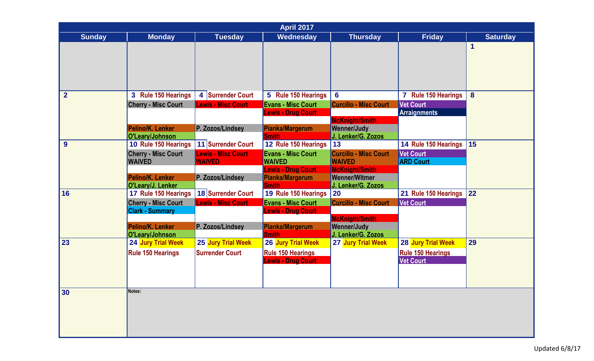|                | <b>April 2017</b>                            |                           |                                        |                                                                   |                          |                 |  |  |
|----------------|----------------------------------------------|---------------------------|----------------------------------------|-------------------------------------------------------------------|--------------------------|-----------------|--|--|
| <b>Sunday</b>  | <b>Monday</b>                                | Tuesday                   | Wednesday                              | <b>Thursday</b>                                                   | <b>Friday</b>            | <b>Saturday</b> |  |  |
|                |                                              |                           |                                        |                                                                   |                          | 1               |  |  |
| $\overline{2}$ | 3 Rule 150 Hearings                          | 4 Surrender Court         | 5 Rule 150 Hearings                    | $6\phantom{1}6$                                                   | 7 Rule 150 Hearings      | 8               |  |  |
|                | <b>Cherry - Misc Court</b>                   | <b>Lewis - Misc Court</b> | <b>Evans - Misc Court</b>              | <b>Curcillo - Misc Court</b>                                      | <b>Vet Court</b>         |                 |  |  |
|                |                                              |                           | <b>Lewis - Drug Court</b>              |                                                                   | <b>Arraignments</b>      |                 |  |  |
|                | Pelino/K. Lenker<br>O'Leary/Johnson          | P. Zozos/Lindsey          | <b>Pianka/Margerum</b><br><b>Smith</b> | <b>McKnight/Smith</b><br><b>Wenner/Judy</b><br>J. Lenker/G. Zozos |                          |                 |  |  |
| 9              | 10 Rule 150 Hearings                         | 11 Surrender Court        | 12 Rule 150 Hearings                   | 13                                                                | 14 Rule 150 Hearings     | 15              |  |  |
|                | <b>Cherry - Misc Court</b>                   | <b>Lewis - Misc Court</b> | <b>Evans - Misc Court</b>              | <b>Curcillo - Misc Court</b>                                      | <b>Vet Court</b>         |                 |  |  |
|                | <b>WAIVED</b>                                | <b>WAIVED</b>             | <b>WAIVED</b>                          | <b>WAIVED</b>                                                     | <b>ARD Court</b>         |                 |  |  |
|                |                                              |                           | <b>Lewis - Drug Court</b>              | <b>McKnight/Smith</b>                                             |                          |                 |  |  |
|                | Pelino/K. Lenker<br>O'Leary/J. Lenker        | P. Zozos/Lindsey          | <b>Pianka/Margerum</b><br><b>Smith</b> | <b>Wenner/Witmer</b><br>J. Lenker/G. Zozos                        |                          |                 |  |  |
| 16             | 17 Rule 150 Hearings                         | 18 Surrender Court        | 19 Rule 150 Hearings                   | <b>20</b>                                                         | 21 Rule 150 Hearings     | 22              |  |  |
|                | <b>Cherry - Misc Court</b>                   | <b>Lewis - Misc Court</b> | <b>Evans - Misc Court</b>              | <b>Curcillo - Misc Court</b>                                      | <b>Vet Court</b>         |                 |  |  |
|                | <b>Clark - Summary</b>                       |                           | <b>Lewis - Drug Court</b>              |                                                                   |                          |                 |  |  |
|                |                                              |                           |                                        | <b>McKnight/Smith</b>                                             |                          |                 |  |  |
|                | Pelino/K. Lenker                             | P. Zozos/Lindsey          | Pianka/Margerum                        | <b>Wenner/Judy</b>                                                |                          |                 |  |  |
| 23             | O'Leary/Johnson<br><b>24 Jury Trial Week</b> | 25 Jury Trial Week        | <b>Smith</b><br>26 Jury Trial Week     | J. Lenker/G. Zozos<br>27 Jury Trial Week                          | 28 Jury Trial Week       | 29              |  |  |
|                | <b>Rule 150 Hearings</b>                     | <b>Surrender Court</b>    | <b>Rule 150 Hearings</b>               |                                                                   | <b>Rule 150 Hearings</b> |                 |  |  |
|                |                                              |                           | <b>Lewis - Drug Court</b>              |                                                                   | <b>Vet Court</b>         |                 |  |  |
|                |                                              |                           |                                        |                                                                   |                          |                 |  |  |
|                |                                              |                           |                                        |                                                                   |                          |                 |  |  |
|                | Notes:                                       |                           |                                        |                                                                   |                          |                 |  |  |
| 30             |                                              |                           |                                        |                                                                   |                          |                 |  |  |
|                |                                              |                           |                                        |                                                                   |                          |                 |  |  |
|                |                                              |                           |                                        |                                                                   |                          |                 |  |  |
|                |                                              |                           |                                        |                                                                   |                          |                 |  |  |
|                |                                              |                           |                                        |                                                                   |                          |                 |  |  |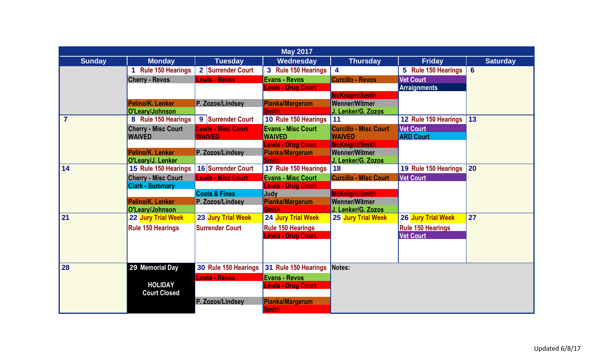|                | <b>May 2017</b>                             |                                            |                                            |                                               |                                      |                 |  |  |  |
|----------------|---------------------------------------------|--------------------------------------------|--------------------------------------------|-----------------------------------------------|--------------------------------------|-----------------|--|--|--|
| <b>Sunday</b>  | <b>Monday</b>                               | <b>Tuesday</b>                             | Wednesday                                  | <b>Thursday</b>                               | <b>Friday</b>                        | <b>Saturday</b> |  |  |  |
|                | <b>Rule 150 Hearings</b>                    | Surrender Court<br>2 <sup>1</sup>          | 3 Rule 150 Hearings                        | $\overline{\mathbf{4}}$                       | 5 Rule 150 Hearings                  | 6               |  |  |  |
|                | <b>Cherry - Revos</b>                       | <b>Lewis - Revos</b>                       | <b>Evans - Revos</b>                       | <b>Curcillo - Revos</b>                       | <b>Vet Court</b>                     |                 |  |  |  |
|                |                                             |                                            | <b>Lewis - Drug Court</b>                  |                                               | <b>Arraignments</b>                  |                 |  |  |  |
|                |                                             |                                            |                                            | <b>McKnight/Smith</b>                         |                                      |                 |  |  |  |
|                | Pelino/K. Lenker                            | P. Zozos/Lindsey                           | <b>Pianka/Margerum</b>                     | <b>Wenner/Witmer</b>                          |                                      |                 |  |  |  |
| $\overline{7}$ | O'Leary/Johnson                             |                                            | <b>Smith</b>                               | J. Lenker/G. Zozos<br>11                      | 12 Rule 150 Hearings                 | 13              |  |  |  |
|                | 8 Rule 150 Hearings                         | 9 Surrender Court                          | 10 Rule 150 Hearings                       |                                               |                                      |                 |  |  |  |
|                | <b>Cherry - Misc Court</b><br><b>WAIVED</b> | <b>Lewis - Misc Court</b><br><b>WAIVED</b> | <b>Evans - Misc Court</b><br><b>WAIVED</b> | <b>Curcillo - Misc Court</b><br><b>WAIVED</b> | <b>Vet Court</b><br><b>ARD Court</b> |                 |  |  |  |
|                |                                             |                                            | <b>Lewis - Drug Court</b>                  | <b>McKnight/Smith</b>                         |                                      |                 |  |  |  |
|                | Pelino/K. Lenker                            | P. Zozos/Lindsey                           | <b>Pianka/Margerum</b>                     | <b>Wenner/Witmer</b>                          |                                      |                 |  |  |  |
|                | O'Leary/J. Lenker                           |                                            | <b>Smith</b>                               | J. Lenker/G. Zozos                            |                                      |                 |  |  |  |
| 14             | 15 Rule 150 Hearings                        | 16 Surrender Court                         | 17 Rule 150 Hearings                       | 18                                            | 19 Rule 150 Hearings                 | 20              |  |  |  |
|                | <b>Cherry - Misc Court</b>                  | <b>Lewis - Misc Court</b>                  | <b>Evans - Misc Court</b>                  | <b>Curcillo - Misc Court</b>                  | <b>Vet Court</b>                     |                 |  |  |  |
|                | <b>Clark - Summary</b>                      |                                            | <b>Lewis - Drug Court</b>                  |                                               |                                      |                 |  |  |  |
|                |                                             | <b>Costs &amp; Fines</b>                   | Judy                                       | <b>McKnight/Smith</b>                         |                                      |                 |  |  |  |
|                | Pelino/K. Lenker                            | P. Zozos/Lindsey                           | Pianka/Margerum                            | <b>Wenner/Witmer</b>                          |                                      |                 |  |  |  |
| 21             | O'Leary/Johnson                             |                                            | <b>Smith</b>                               | J. Lenker/G. Zozos                            |                                      |                 |  |  |  |
|                | 22 Jury Trial Week                          | 23 Jury Trial Week                         | 24 Jury Trial Week                         | 25 Jury Trial Week                            | 26 Jury Trial Week                   | 27              |  |  |  |
|                | <b>Rule 150 Hearings</b>                    | <b>Surrender Court</b>                     | <b>Rule 150 Hearings</b>                   |                                               | <b>Rule 150 Hearings</b>             |                 |  |  |  |
|                |                                             |                                            | <b>Lewis - Drug Court</b>                  |                                               | <b>Vet Court</b>                     |                 |  |  |  |
|                |                                             |                                            |                                            |                                               |                                      |                 |  |  |  |
|                |                                             |                                            |                                            |                                               |                                      |                 |  |  |  |
| 28             | 29 Memorial Day                             | 30 Rule 150 Hearings                       | 31 Rule 150 Hearings                       | Notes:                                        |                                      |                 |  |  |  |
|                |                                             | Lewis - Revos                              | <b>Evans - Revos</b>                       |                                               |                                      |                 |  |  |  |
|                | <b>HOLIDAY</b>                              |                                            | <b>Lewis - Drug Court</b>                  |                                               |                                      |                 |  |  |  |
|                | <b>Court Closed</b>                         |                                            |                                            |                                               |                                      |                 |  |  |  |
|                |                                             | P. Zozos/Lindsey                           | <b>Pianka/Margerum</b>                     |                                               |                                      |                 |  |  |  |
|                |                                             |                                            | <b>Smith</b>                               |                                               |                                      |                 |  |  |  |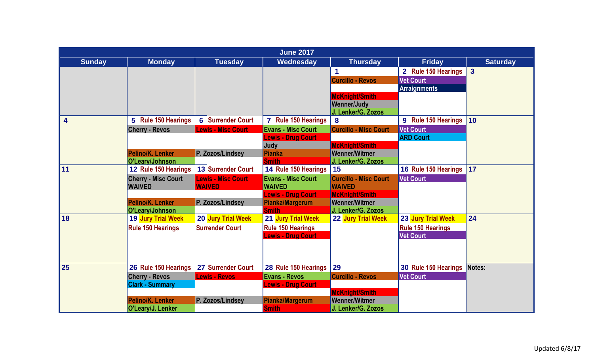|               |                                             |                                            | <b>June 2017</b>                                       |                                                                     |                                              |                 |
|---------------|---------------------------------------------|--------------------------------------------|--------------------------------------------------------|---------------------------------------------------------------------|----------------------------------------------|-----------------|
| <b>Sunday</b> | <b>Monday</b>                               | <b>Tuesday</b>                             | Wednesday                                              | <b>Thursday</b>                                                     | <b>Friday</b>                                | <b>Saturday</b> |
|               |                                             |                                            |                                                        | 1                                                                   | 2 Rule 150 Hearings                          | $\overline{3}$  |
|               |                                             |                                            |                                                        | <b>Curcillo - Revos</b>                                             | <b>Vet Court</b><br><b>Arraignments</b>      |                 |
|               |                                             |                                            |                                                        | <b>McKnight/Smith</b><br><b>Wenner/Judy</b><br>J. Lenker/G. Zozos   |                                              |                 |
| 4             | 5 Rule 150 Hearings                         | 6 Surrender Court                          | 7 Rule 150 Hearings                                    | 8                                                                   | 9 Rule 150 Hearings                          | 10              |
|               | <b>Cherry - Revos</b>                       | <b>Lewis - Misc Court</b>                  | <b>Evans - Misc Court</b><br><b>Lewis - Drug Court</b> | <b>Curcillo - Misc Court</b>                                        | <b>Vet Court</b><br><b>ARD Court</b>         |                 |
|               | Pelino/K. Lenker<br>O'Leary/Johnson         | P. Zozos/Lindsey                           | Judy<br><b>Pianka</b><br><b>Smith</b>                  | <b>McKnight/Smith</b><br><b>Wenner/Witmer</b><br>J. Lenker/G. Zozos |                                              |                 |
| 11            | 12 Rule 150 Hearings                        | 13 Surrender Court                         | 14 Rule 150 Hearings                                   | 15                                                                  | 16 Rule 150 Hearings                         | 17              |
|               | <b>Cherry - Misc Court</b><br><b>WAIVED</b> | <b>Lewis - Misc Court</b><br><b>WAIVED</b> | <b>Evans - Misc Court</b><br><b>WAIVED</b>             | <b>Curcillo - Misc Court</b><br><b>WAIVED</b>                       | <b>Vet Court</b>                             |                 |
|               |                                             |                                            | <b>Lewis - Drug Court</b>                              | <b>McKnight/Smith</b>                                               |                                              |                 |
|               | Pelino/K. Lenker<br>O'Leary/Johnson         | P. Zozos/Lindsey                           | Pianka/Margerum<br><b>Smith</b>                        | <b>Wenner/Witmer</b><br>J. Lenker/G. Zozos                          |                                              |                 |
| 18            | <b>19 Jury Trial Week</b>                   | 20 Jury Trial Week                         | 21 Jury Trial Week                                     | 22 Jury Trial Week                                                  | 23 Jury Trial Week                           | 24              |
|               | <b>Rule 150 Hearings</b>                    | <b>Surrender Court</b>                     | <b>Rule 150 Hearings</b><br><b>Lewis - Drug Court</b>  |                                                                     | <b>Rule 150 Hearings</b><br><b>Vet Court</b> |                 |
|               |                                             |                                            |                                                        |                                                                     |                                              |                 |
| 25            | 26 Rule 150 Hearings                        | 27 Surrender Court                         | 28 Rule 150 Hearings                                   | 29                                                                  | 30 Rule 150 Hearings                         | Notes:          |
|               | <b>Cherry - Revos</b>                       | <b>Lewis - Revos</b>                       | <b>Evans - Revos</b>                                   | <b>Curcillo - Revos</b>                                             | <b>Vet Court</b>                             |                 |
|               | <b>Clark - Summary</b>                      |                                            | <b>Lewis - Drug Court</b>                              | <b>McKnight/Smith</b>                                               |                                              |                 |
|               | Pelino/K. Lenker                            | P. Zozos/Lindsey                           | Pianka/Margerum                                        | <b>Wenner/Witmer</b>                                                |                                              |                 |
|               | O'Leary/J. Lenker                           |                                            | <b>Smith</b>                                           | J. Lenker/G. Zozos                                                  |                                              |                 |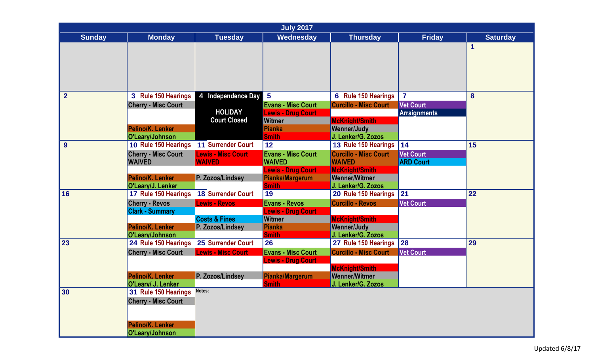|                | <b>July 2017</b>                       |                           |                                            |                                            |                     |                 |  |  |
|----------------|----------------------------------------|---------------------------|--------------------------------------------|--------------------------------------------|---------------------|-----------------|--|--|
| <b>Sunday</b>  | <b>Monday</b>                          | <b>Tuesday</b>            | Wednesday                                  | <b>Thursday</b>                            | <b>Friday</b>       | <b>Saturday</b> |  |  |
|                |                                        |                           |                                            |                                            |                     | 1               |  |  |
|                |                                        |                           |                                            |                                            |                     |                 |  |  |
|                |                                        |                           |                                            |                                            |                     |                 |  |  |
|                |                                        |                           |                                            |                                            |                     |                 |  |  |
|                |                                        |                           |                                            |                                            |                     |                 |  |  |
| $\overline{2}$ | 3 Rule 150 Hearings                    | 4 Independence Day        | $5\phantom{.0}$                            | 6 Rule 150 Hearings                        | $\overline{7}$      | 8               |  |  |
|                | <b>Cherry - Misc Court</b>             |                           | <b>Evans - Misc Court</b>                  | <b>Curcillo - Misc Court</b>               | <b>Vet Court</b>    |                 |  |  |
|                |                                        | <b>HOLIDAY</b>            | <b>Lewis - Drug Court</b>                  |                                            | <b>Arraignments</b> |                 |  |  |
|                |                                        | <b>Court Closed</b>       | <b>Witmer</b>                              | <b>McKnight/Smith</b>                      |                     |                 |  |  |
|                | Pelino/K. Lenker<br>O'Leary/Johnson    |                           | <b>Pianka</b><br><b>Smith</b>              | <b>Wenner/Judy</b><br>J. Lenker/G. Zozos   |                     |                 |  |  |
| 9              | 10 Rule 150 Hearings                   | 11 Surrender Court        | 12                                         | 13 Rule 150 Hearings                       | 14                  | 15              |  |  |
|                | <b>Cherry - Misc Court</b>             | <b>Lewis - Misc Court</b> | <b>Evans - Misc Court</b>                  | <b>Curcillo - Misc Court</b>               | <b>Vet Court</b>    |                 |  |  |
|                | <b>WAIVED</b>                          | <b>WAIVED</b>             | <b>WAIVED</b>                              | <b>WAIVED</b>                              | <b>ARD Court</b>    |                 |  |  |
|                |                                        |                           | <b>Lewis - Drug Court</b>                  | <b>McKnight/Smith</b>                      |                     |                 |  |  |
|                | Pelino/K. Lenker                       | P. Zozos/Lindsev          | <b>Pianka/Margerum</b>                     | <b>Wenner/Witmer</b>                       |                     |                 |  |  |
|                | O'Leary/J. Lenker                      |                           | <b>Smith</b>                               | J. Lenker/G. Zozos                         |                     |                 |  |  |
| 16             | 17 Rule 150 Hearings                   | 18 Surrender Court        | 19                                         | 20 Rule 150 Hearings                       | 21                  | 22              |  |  |
|                | <b>Cherry - Revos</b>                  | <b>Lewis - Revos</b>      | <b>Evans - Revos</b>                       | <b>Curcillo - Revos</b>                    | <b>Vet Court</b>    |                 |  |  |
|                | <b>Clark - Summary</b>                 | <b>Costs &amp; Fines</b>  | <b>Lewis - Drug Court</b><br><b>Witmer</b> | <b>McKnight/Smith</b>                      |                     |                 |  |  |
|                | Pelino/K. Lenker                       | P. Zozos/Lindsey          | <b>Pianka</b>                              | <b>Wenner/Judy</b>                         |                     |                 |  |  |
|                | O'Leary/Johnson                        |                           | <b>Smith</b>                               | J. Lenker/G. Zozos                         |                     |                 |  |  |
| 23             | 24 Rule 150 Hearings                   | 25 Surrender Court        | 26                                         | 27 Rule 150 Hearings                       | 28                  | 29              |  |  |
|                | <b>Cherry - Misc Court</b>             | <b>Lewis - Misc Court</b> | <b>Evans - Misc Court</b>                  | <b>Curcillo - Misc Court</b>               | <b>Vet Court</b>    |                 |  |  |
|                |                                        |                           | <b>Lewis - Drug Court</b>                  |                                            |                     |                 |  |  |
|                |                                        |                           |                                            | <b>McKnight/Smith</b>                      |                     |                 |  |  |
|                | Pelino/K. Lenker<br>O'Leary/ J. Lenker | P. Zozos/Lindsey          | <b>Pianka/Margerum</b><br><b>Smith</b>     | <b>Wenner/Witmer</b><br>J. Lenker/G. Zozos |                     |                 |  |  |
| 30             | 31 Rule 150 Hearings                   | Notes:                    |                                            |                                            |                     |                 |  |  |
|                | <b>Cherry - Misc Court</b>             |                           |                                            |                                            |                     |                 |  |  |
|                |                                        |                           |                                            |                                            |                     |                 |  |  |
|                |                                        |                           |                                            |                                            |                     |                 |  |  |
|                | Pelino/K. Lenker                       |                           |                                            |                                            |                     |                 |  |  |
|                | O'Leary/Johnson                        |                           |                                            |                                            |                     |                 |  |  |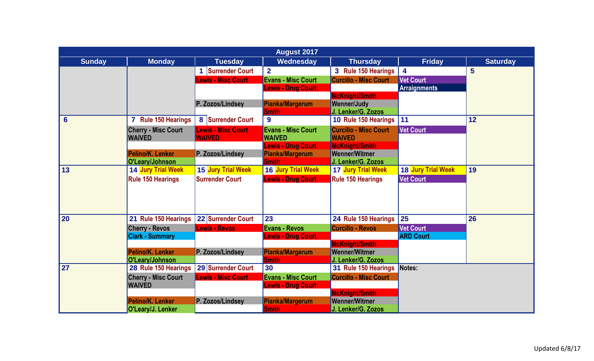|                 | <b>August 2017</b>                  |                           |                                 |                                            |                     |                 |  |  |  |
|-----------------|-------------------------------------|---------------------------|---------------------------------|--------------------------------------------|---------------------|-----------------|--|--|--|
| <b>Sunday</b>   | <b>Monday</b>                       | <b>Tuesday</b>            | Wednesday                       | <b>Thursday</b>                            | <b>Friday</b>       | <b>Saturday</b> |  |  |  |
|                 |                                     | 1 Surrender Court         | $\overline{2}$                  | 3 Rule 150 Hearings                        | 4                   | $5\phantom{1}$  |  |  |  |
|                 |                                     | <b>Lewis - Misc Court</b> | <b>Evans - Misc Court</b>       | <b>Curcillo - Misc Court</b>               | <b>Vet Court</b>    |                 |  |  |  |
|                 |                                     |                           | <b>Lewis - Drug Court</b>       |                                            | <b>Arraignments</b> |                 |  |  |  |
|                 |                                     |                           |                                 | <b>McKnight/Smith</b>                      |                     |                 |  |  |  |
|                 |                                     | P. Zozos/Lindsey          | Pianka/Margerum                 | <b>Wenner/Judy</b>                         |                     |                 |  |  |  |
|                 |                                     |                           | <b>Smith</b>                    | J. Lenker/G. Zozos                         |                     |                 |  |  |  |
| $6\phantom{1}$  | 7 Rule 150 Hearings                 | 8 Surrender Court         | 9                               | 10 Rule 150 Hearings                       | 11                  | 12              |  |  |  |
|                 | <b>Cherry - Misc Court</b>          | <b>Lewis - Misc Court</b> | <b>Evans - Misc Court</b>       | <b>Curcillo - Misc Court</b>               | <b>Vet Court</b>    |                 |  |  |  |
|                 | <b>WAIVED</b>                       | <b>WAIVED</b>             | <b>WAIVED</b>                   | <b>WAIVED</b>                              |                     |                 |  |  |  |
|                 |                                     |                           | <b>Lewis - Drug Court</b>       | <b>McKnight/Smith</b>                      |                     |                 |  |  |  |
|                 | Pelino/K. Lenker<br>O'Leary/Johnson | P. Zozos/Lindsey          | Pianka/Margerum<br><b>Smith</b> | <b>Wenner/Witmer</b><br>J. Lenker/G. Zozos |                     |                 |  |  |  |
| 13              | 14 Jury Trial Week                  | 15 Jury Trial Week        | 16 Jury Trial Week              | <b>17 Jury Trial Week</b>                  | 18 Jury Trial Week  | 19              |  |  |  |
|                 | <b>Rule 150 Hearings</b>            | <b>Surrender Court</b>    | <b>Lewis - Drug Court</b>       | <b>Rule 150 Hearings</b>                   | <b>Vet Court</b>    |                 |  |  |  |
|                 |                                     |                           |                                 |                                            |                     |                 |  |  |  |
|                 |                                     |                           |                                 |                                            |                     |                 |  |  |  |
| 20              | 21 Rule 150 Hearings                | 22 Surrender Court        | 23                              | 24 Rule 150 Hearings                       | 25                  | 26              |  |  |  |
|                 | <b>Cherry - Revos</b>               | <b>Lewis - Revos</b>      | <b>Evans - Revos</b>            | <b>Curcillo - Revos</b>                    | <b>Vet Court</b>    |                 |  |  |  |
|                 | <b>Clark - Summary</b>              |                           | <b>Lewis - Drug Court</b>       |                                            | <b>ARD Court</b>    |                 |  |  |  |
|                 |                                     |                           |                                 | <b>McKnight/Smith</b>                      |                     |                 |  |  |  |
|                 | Pelino/K. Lenker                    | P. Zozos/Lindsey          | Pianka/Margerum                 | <b>Wenner/Witmer</b>                       |                     |                 |  |  |  |
|                 | O'Leary/Johnson                     |                           | <b>Smith</b>                    | J. Lenker/G. Zozos                         |                     |                 |  |  |  |
| $\overline{27}$ | 28 Rule 150 Hearings                | 29 Surrender Court        | 30                              | 31 Rule 150 Hearings                       | Notes:              |                 |  |  |  |
|                 | <b>Cherry - Misc Court</b>          | <b>Lewis - Misc Court</b> | <b>Evans - Misc Court</b>       | <b>Curcillo - Misc Court</b>               |                     |                 |  |  |  |
|                 | <b>WAIVED</b>                       |                           | <b>Lewis - Drug Court</b>       |                                            |                     |                 |  |  |  |
|                 |                                     |                           |                                 | <b>McKnight/Smith</b>                      |                     |                 |  |  |  |
|                 | Pelino/K. Lenker                    | P. Zozos/Lindsev          | Pianka/Margerum                 | <b>Wenner/Witmer</b>                       |                     |                 |  |  |  |
|                 | O'Leary/J. Lenker                   |                           | <b>Smith</b>                    | J. Lenker/G. Zozos                         |                     |                 |  |  |  |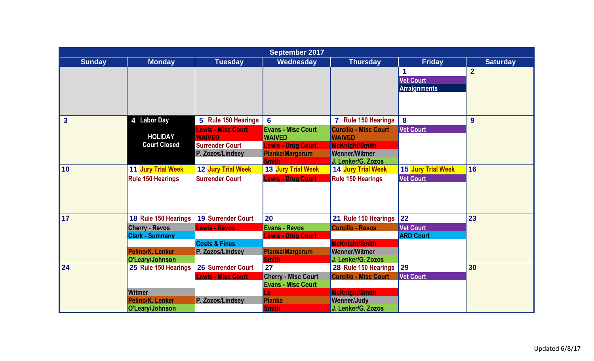|                         |                          |                           | September 2017             |                              |                     |                 |
|-------------------------|--------------------------|---------------------------|----------------------------|------------------------------|---------------------|-----------------|
| <b>Sunday</b>           | <b>Monday</b>            | <b>Tuesday</b>            | Wednesday                  | <b>Thursday</b>              | <b>Friday</b>       | <b>Saturday</b> |
|                         |                          |                           |                            |                              | 1                   | $\overline{2}$  |
|                         |                          |                           |                            |                              | <b>Vet Court</b>    |                 |
|                         |                          |                           |                            |                              | <b>Arraignments</b> |                 |
|                         |                          |                           |                            |                              |                     |                 |
|                         |                          |                           |                            |                              |                     |                 |
| $\overline{\mathbf{3}}$ | 4 Labor Day              | 5 Rule 150 Hearings       | $6\phantom{1}6$            | <b>Rule 150 Hearings</b>     | 8                   | 9               |
|                         |                          | <b>Lewis - Misc Court</b> | <b>Evans - Misc Court</b>  | <b>Curcillo - Misc Court</b> | <b>Vet Court</b>    |                 |
|                         | <b>HOLIDAY</b>           | <b>WAIVED</b>             | <b>WAIVED</b>              | <b>WAIVED</b>                |                     |                 |
|                         | <b>Court Closed</b>      | <b>Surrender Court</b>    | <b>Lewis - Drug Court</b>  | <b>McKnight/Smith</b>        |                     |                 |
|                         |                          | P. Zozos/Lindsey          | <b>Pianka/Margerum</b>     | <b>Wenner/Witmer</b>         |                     |                 |
|                         |                          |                           | <b>Smith</b>               | J. Lenker/G. Zozos           |                     |                 |
| 10                      | 11 Jury Trial Week       | 12 Jury Trial Week        | 13 Jury Trial Week         | 14 Jury Trial Week           | 15 Jury Trial Week  | 16              |
|                         | <b>Rule 150 Hearings</b> | <b>Surrender Court</b>    | <b>Lewis - Drug Court</b>  | <b>Rule 150 Hearings</b>     | <b>Vet Court</b>    |                 |
|                         |                          |                           |                            |                              |                     |                 |
|                         |                          |                           |                            |                              |                     |                 |
| 17                      | 18 Rule 150 Hearings     | 19 Surrender Court        | 20                         | 21 Rule 150 Hearings         | 22                  | 23              |
|                         | <b>Cherry - Revos</b>    | <b>Lewis - Revos</b>      | <b>Evans - Revos</b>       | <b>Curcillo - Revos</b>      | <b>Vet Court</b>    |                 |
|                         | <b>Clark - Summary</b>   |                           | <b>Lewis - Drug Court</b>  |                              | <b>ARD Court</b>    |                 |
|                         |                          | <b>Costs &amp; Fines</b>  |                            | <b>McKnight/Smith</b>        |                     |                 |
|                         | Pelino/K. Lenker         | P. Zozos/Lindsey          | <b>Pianka/Margerum</b>     | <b>Wenner/Witmer</b>         |                     |                 |
|                         | O'Leary/Johnson          |                           | <b>Smith</b>               | J. Lenker/G. Zozos           |                     |                 |
| 24                      | 25 Rule 150 Hearings     | 26 Surrender Court        | 27                         | 28 Rule 150 Hearings         | 29                  | 30              |
|                         |                          | <b>Lewis - Misc Court</b> | <b>Cherry - Misc Court</b> | <b>Curcillo - Misc Court</b> | <b>Vet Court</b>    |                 |
|                         |                          |                           | <b>Evans - Misc Court</b>  |                              |                     |                 |
|                         | <b>Witmer</b>            |                           | Le                         | <b>McKnight/Smith</b>        |                     |                 |
|                         | Pelino/K. Lenker         | P. Zozos/Lindsev          | <b>Pianka</b>              | <b>Wenner/Judy</b>           |                     |                 |
|                         | O'Leary/Johnson          |                           | <b>Smith</b>               | J. Lenker/G. Zozos           |                     |                 |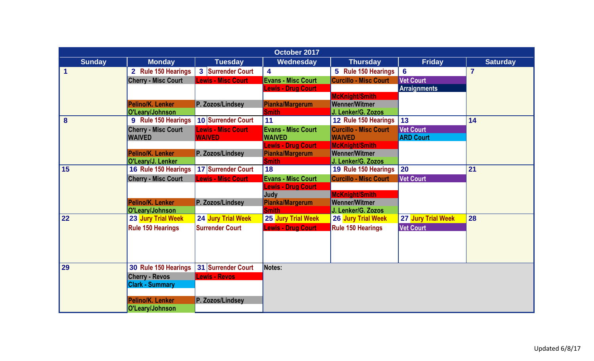|               | October 2017                        |                           |                                          |                                            |                     |                 |  |  |  |
|---------------|-------------------------------------|---------------------------|------------------------------------------|--------------------------------------------|---------------------|-----------------|--|--|--|
| <b>Sunday</b> | <b>Monday</b>                       | <b>Tuesday</b>            | <b>Wednesday</b>                         | <b>Thursday</b>                            | <b>Friday</b>       | <b>Saturday</b> |  |  |  |
| 1             | 2 Rule 150 Hearings                 | 3 Surrender Court         | 4                                        | 5 Rule 150 Hearings                        | $6\phantom{a}$      | $\overline{7}$  |  |  |  |
|               | <b>Cherry - Misc Court</b>          | <b>Lewis - Misc Court</b> | <b>Evans - Misc Court</b>                | <b>Curcillo - Misc Court</b>               | <b>Vet Court</b>    |                 |  |  |  |
|               |                                     |                           | <b>Lewis - Drug Court</b>                |                                            | <b>Arraignments</b> |                 |  |  |  |
|               |                                     |                           |                                          | <b>McKnight/Smith</b>                      |                     |                 |  |  |  |
|               | Pelino/K. Lenker<br>O'Leary/Johnson | P. Zozos/Lindsey          | Pianka/Margerum<br><b>Smith</b>          | <b>Wenner/Witmer</b><br>J. Lenker/G. Zozos |                     |                 |  |  |  |
| 8             | 9 Rule 150 Hearings                 | 10 Surrender Court        | 11                                       | 12 Rule 150 Hearings                       | 13                  | 14              |  |  |  |
|               | <b>Cherry - Misc Court</b>          | <b>Lewis - Misc Court</b> | <b>Evans - Misc Court</b>                | <b>Curcillo - Misc Court</b>               | <b>Vet Court</b>    |                 |  |  |  |
|               | <b>WAIVED</b>                       | <b>WAIVED</b>             | <b>WAIVED</b>                            | <b>WAIVED</b>                              | <b>ARD Court</b>    |                 |  |  |  |
|               |                                     |                           | <b>Lewis - Drug Court</b>                | <b>McKnight/Smith</b>                      |                     |                 |  |  |  |
|               | Pelino/K. Lenker                    | P. Zozos/Lindsey          | <b>Pianka/Margerum</b>                   | <b>Wenner/Witmer</b>                       |                     |                 |  |  |  |
|               | O'Leary/J. Lenker                   |                           | <b>Smith</b>                             | J. Lenker/G. Zozos                         |                     |                 |  |  |  |
| 15            | 16 Rule 150 Hearings                | 17 Surrender Court        | 18                                       | 19 Rule 150 Hearings                       | 20                  | 21              |  |  |  |
|               | <b>Cherry - Misc Court</b>          | <b>Lewis - Misc Court</b> | <b>Evans - Misc Court</b>                | <b>Curcillo - Misc Court</b>               | <b>Vet Court</b>    |                 |  |  |  |
|               |                                     |                           | <b>Lewis - Drug Court</b><br><b>Judy</b> | <b>McKnight/Smith</b>                      |                     |                 |  |  |  |
|               | Pelino/K. Lenker                    | P. Zozos/Lindsey          | <b>Pianka/Margerum</b>                   | <b>Wenner/Witmer</b>                       |                     |                 |  |  |  |
|               | O'Leary/Johnson                     |                           | <b>Smith</b>                             | J. Lenker/G. Zozos                         |                     |                 |  |  |  |
| 22            | <b>23 Jury Trial Week</b>           | 24 Jury Trial Week        | 25 Jury Trial Week                       | <b>26 Jury Trial Week</b>                  | 27 Jury Trial Week  | 28              |  |  |  |
|               | <b>Rule 150 Hearings</b>            | <b>Surrender Court</b>    | <b>Lewis - Drug Court</b>                | <b>Rule 150 Hearings</b>                   | <b>Vet Court</b>    |                 |  |  |  |
|               |                                     |                           |                                          |                                            |                     |                 |  |  |  |
|               |                                     |                           |                                          |                                            |                     |                 |  |  |  |
|               |                                     |                           |                                          |                                            |                     |                 |  |  |  |
| 29            | 30 Rule 150 Hearings                | 31 Surrender Court        | Notes:                                   |                                            |                     |                 |  |  |  |
|               | <b>Cherry - Revos</b>               | <b>Lewis - Revos</b>      |                                          |                                            |                     |                 |  |  |  |
|               | <b>Clark - Summary</b>              |                           |                                          |                                            |                     |                 |  |  |  |
|               |                                     |                           |                                          |                                            |                     |                 |  |  |  |
|               | Pelino/K. Lenker                    | P. Zozos/Lindsey          |                                          |                                            |                     |                 |  |  |  |
|               | O'Leary/Johnson                     |                           |                                          |                                            |                     |                 |  |  |  |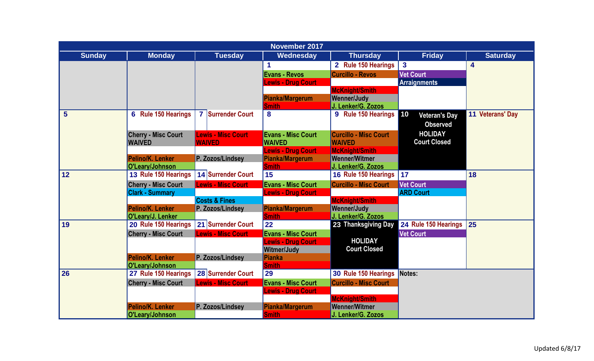|                | <b>November 2017</b>                        |                                            |                                            |                                               |                                                       |                         |  |  |
|----------------|---------------------------------------------|--------------------------------------------|--------------------------------------------|-----------------------------------------------|-------------------------------------------------------|-------------------------|--|--|
| <b>Sunday</b>  | <b>Monday</b>                               | <b>Tuesday</b>                             | Wednesday                                  | <b>Thursday</b>                               | <b>Friday</b>                                         | <b>Saturday</b>         |  |  |
|                |                                             |                                            | 1                                          | 2 Rule 150 Hearings                           | $\mathbf{3}$                                          | $\overline{\mathbf{4}}$ |  |  |
|                |                                             |                                            | <b>Evans - Revos</b>                       | <b>Curcillo - Revos</b>                       | <b>Vet Court</b>                                      |                         |  |  |
|                |                                             |                                            | <b>Lewis - Drug Court</b>                  |                                               | <b>Arraignments</b>                                   |                         |  |  |
|                |                                             |                                            |                                            | <b>McKnight/Smith</b>                         |                                                       |                         |  |  |
|                |                                             |                                            | Pianka/Margerum                            | <b>Wenner/Judy</b>                            |                                                       |                         |  |  |
|                |                                             |                                            | <b>Smith</b>                               | J. Lenker/G. Zozos                            |                                                       |                         |  |  |
| $5\phantom{1}$ | 6 Rule 150 Hearings                         | 7 Surrender Court                          | 8                                          | 9 Rule 150 Hearings                           | $\vert$ 10<br><b>Veteran's Day</b><br><b>Observed</b> | 11 Veterans' Day        |  |  |
|                | <b>Cherry - Misc Court</b><br><b>WAIVED</b> | <b>Lewis - Misc Court</b><br><b>WAIVED</b> | <b>Evans - Misc Court</b><br><b>WAIVED</b> | <b>Curcillo - Misc Court</b><br><b>WAIVED</b> | <b>HOLIDAY</b><br><b>Court Closed</b>                 |                         |  |  |
|                |                                             |                                            | <b>Lewis - Drug Court</b>                  | <b>McKnight/Smith</b>                         |                                                       |                         |  |  |
|                | Pelino/K. Lenker                            | P. Zozos/Lindsev                           | Pianka/Margerum                            | <b>Wenner/Witmer</b>                          |                                                       |                         |  |  |
|                | O'Leary/Johnson                             |                                            | <b>Smith</b>                               | J. Lenker/G. Zozos                            |                                                       |                         |  |  |
| 12             | 13 Rule 150 Hearings                        | 14 Surrender Court                         | 15                                         | 16 Rule 150 Hearings                          | 17                                                    | 18                      |  |  |
|                | <b>Cherry - Misc Court</b>                  | <b>Lewis - Misc Court</b>                  | <b>Evans - Misc Court</b>                  | <b>Curcillo - Misc Court</b>                  | <b>Vet Court</b>                                      |                         |  |  |
|                | <b>Clark - Summary</b>                      |                                            | <b>Lewis - Drug Court</b>                  |                                               | <b>ARD Court</b>                                      |                         |  |  |
|                |                                             | <b>Costs &amp; Fines</b>                   |                                            | <b>McKnight/Smith</b>                         |                                                       |                         |  |  |
|                | Pelino/K. Lenker                            | P. Zozos/Lindsey                           | Pianka/Margerum                            | <b>Wenner/Judy</b>                            |                                                       |                         |  |  |
| 19             | O'Leary/J. Lenker<br>20 Rule 150 Hearings   | 21 Surrender Court                         | <b>Smith</b><br>22                         | J. Lenker/G. Zozos<br>23 Thanksgiving Day     | 24 Rule 150 Hearings                                  | 25                      |  |  |
|                |                                             | <b>Lewis - Misc Court</b>                  | <b>Evans - Misc Court</b>                  |                                               | <b>Vet Court</b>                                      |                         |  |  |
|                | <b>Cherry - Misc Court</b>                  |                                            | <b>Lewis - Drug Court</b>                  | <b>HOLIDAY</b>                                |                                                       |                         |  |  |
|                |                                             |                                            | <b>Witmer/Judy</b>                         | <b>Court Closed</b>                           |                                                       |                         |  |  |
|                | Pelino/K. Lenker                            | P. Zozos/Lindsev                           | Pianka                                     |                                               |                                                       |                         |  |  |
|                | O'Leary/Johnson                             |                                            | <b>Smith</b>                               |                                               |                                                       |                         |  |  |
| 26             | 27 Rule 150 Hearings                        | 28 Surrender Court                         | 29                                         | 30 Rule 150 Hearings                          | Notes:                                                |                         |  |  |
|                | <b>Cherry - Misc Court</b>                  | <b>Lewis - Misc Court</b>                  | <b>Evans - Misc Court</b>                  | <b>Curcillo - Misc Court</b>                  |                                                       |                         |  |  |
|                |                                             |                                            | <b>Lewis - Drug Court</b>                  |                                               |                                                       |                         |  |  |
|                |                                             |                                            |                                            | <b>McKnight/Smith</b>                         |                                                       |                         |  |  |
|                | Pelino/K. Lenker                            | P. Zozos/Lindsey                           | Pianka/Margerum                            | <b>Wenner/Witmer</b>                          |                                                       |                         |  |  |
|                | O'Leary/Johnson                             |                                            | <b>Smith</b>                               | J. Lenker/G. Zozos                            |                                                       |                         |  |  |